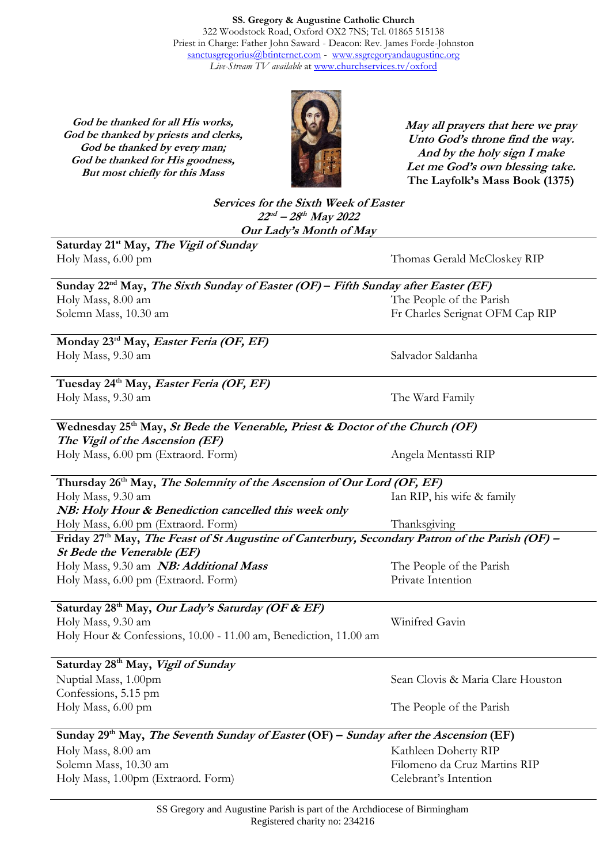**SS. Gregory & Augustine Catholic Church** 322 Woodstock Road, Oxford OX2 7NS; Tel. 01865 515138 Priest in Charge: Father John Saward - Deacon: Rev. James Forde-Johnston [sanctusgregorius@btinternet.com](mailto:sanctusgregorius@btinternet.com) - [www.ssgregoryandaugustine.org](http://www.ssgregoryandaugustine.org/) *Live-Stream TV available* at [www.churchservices.tv/oxford](http://www.churchservices.tv/oxford)

**God be thanked for all His works, God be thanked by priests and clerks, God be thanked by every man; God be thanked for His goodness, But most chiefly for this Mass**



**May all prayers that here we pray Unto God's throne find the way. And by the holy sign I make Let me God's own blessing take. The Layfolk's Mass Book (1375)**

**Services for the Sixth Week of Easter 22 nd – 28 th May 2022 Our Lady's Month of May**

**Saturday 21st May, The Vigil of Sunday** Holy Mass, 6.00 pm Thomas Gerald McCloskey RIP

| Sunday 22 <sup>nd</sup> May, <i>The Sixth Sunday of Easter (OF)</i> – <i>Fifth Sunday after Easter (EF)</i> |                                 |
|-------------------------------------------------------------------------------------------------------------|---------------------------------|
| Holy Mass, 8.00 am                                                                                          | The People of the Parish        |
| Solemn Mass, 10.30 am                                                                                       | Fr Charles Serignat OFM Cap RIP |

**Monday 23rd May, Easter Feria (OF, EF)** Holy Mass, 9.30 am Salvador Saldanha

**Tuesday 24th May, Easter Feria (OF, EF)** Holy Mass, 9.30 am The Ward Family

**Wednesday 25th May, St Bede the Venerable, Priest & Doctor of the Church (OF) The Vigil of the Ascension (EF)**

Holy Mass, 6.00 pm (Extraord. Form) Angela Mentassti RIP

**Thursday 26th May, The Solemnity of the Ascension of Our Lord (OF, EF)** Holy Mass, 9.30 am **NB: Holy Hour & Benediction cancelled this week only** Holy Mass, 6.00 pm (Extraord. Form) Ian RIP, his wife & family Thanksgiving **Friday 27 th May, The Feast of St Augustine of Canterbury, Secondary Patron of the Parish (OF) –**

**St Bede the Venerable (EF)** Holy Mass, 9.30 am **NB: Additional Mass** Holy Mass, 6.00 pm (Extraord. Form)

The People of the Parish Private Intention

Winifred Gavin

**Saturday 28th May, Our Lady's Saturday (OF & EF)** Holy Mass, 9.30 am Holy Hour & Confessions, 10.00 - 11.00 am, Benediction, 11.00 am

**Saturday 28 th May, Vigil of Sunday**  Nuptial Mass, 1.00pm Confessions, 5.15 pm Holy Mass, 6.00 pm

Sean Clovis & Maria Clare Houston

The People of the Parish

#### **Sunday 29th May, The Seventh Sunday of Easter (OF) – Sunday after the Ascension (EF)** Holy Mass, 8.00 am Solemn Mass, 10.30 am Holy Mass, 1.00pm (Extraord. Form) Kathleen Doherty RIP Filomeno da Cruz Martins RIP Celebrant's Intention

SS Gregory and Augustine Parish is part of the Archdiocese of Birmingham Registered charity no: 234216